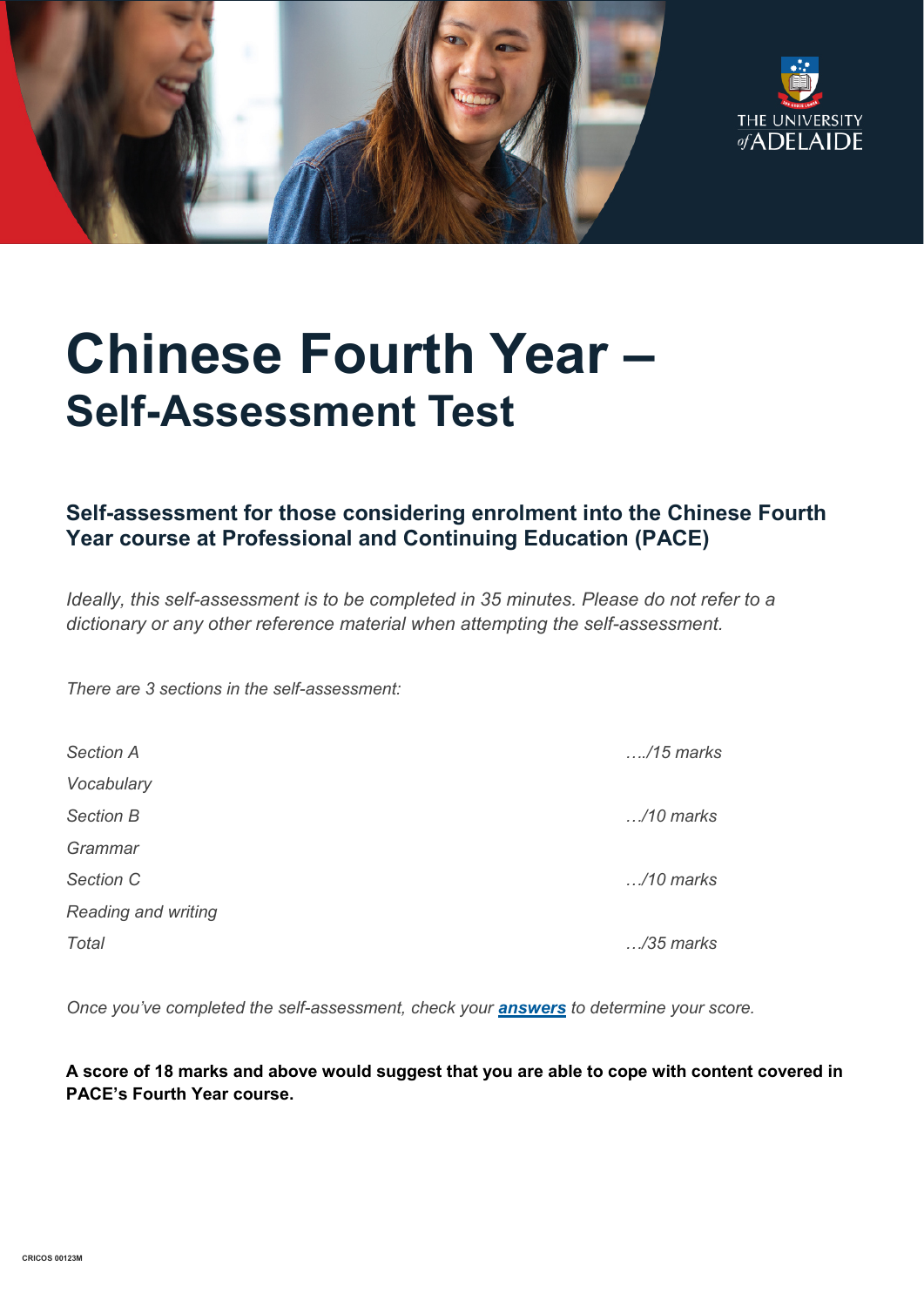



# **Chinese Fourth Year – Self-Assessment Test**

# **Self-assessment for those considering enrolment into the Chinese Fourth Year course at Professional and Continuing Education (PACE)**

*Ideally, this self-assessment is to be completed in 35 minutes. Please do not refer to a dictionary or any other reference material when attempting the self-assessment.*

*There are 3 sections in the self-assessment:*

| <b>Section A</b>    | $\dots$ /15 marks  |
|---------------------|--------------------|
| Vocabulary          |                    |
| <b>Section B</b>    | $\ldots$ /10 marks |
| Grammar             |                    |
| Section C           | $\ldots$ /10 marks |
| Reading and writing |                    |
| Total               | $\ldots$ /35 marks |

*Once you've completed the self-assessment, check your [answers](https://www.adelaide.edu.au/pace/system/files/media/documents/2021-11/placement_test-chinese_year_4_answers_0.pdf) to determine your score.*

**A score of 18 marks and above would suggest that you are able to cope with content covered in PACE's Fourth Year course.**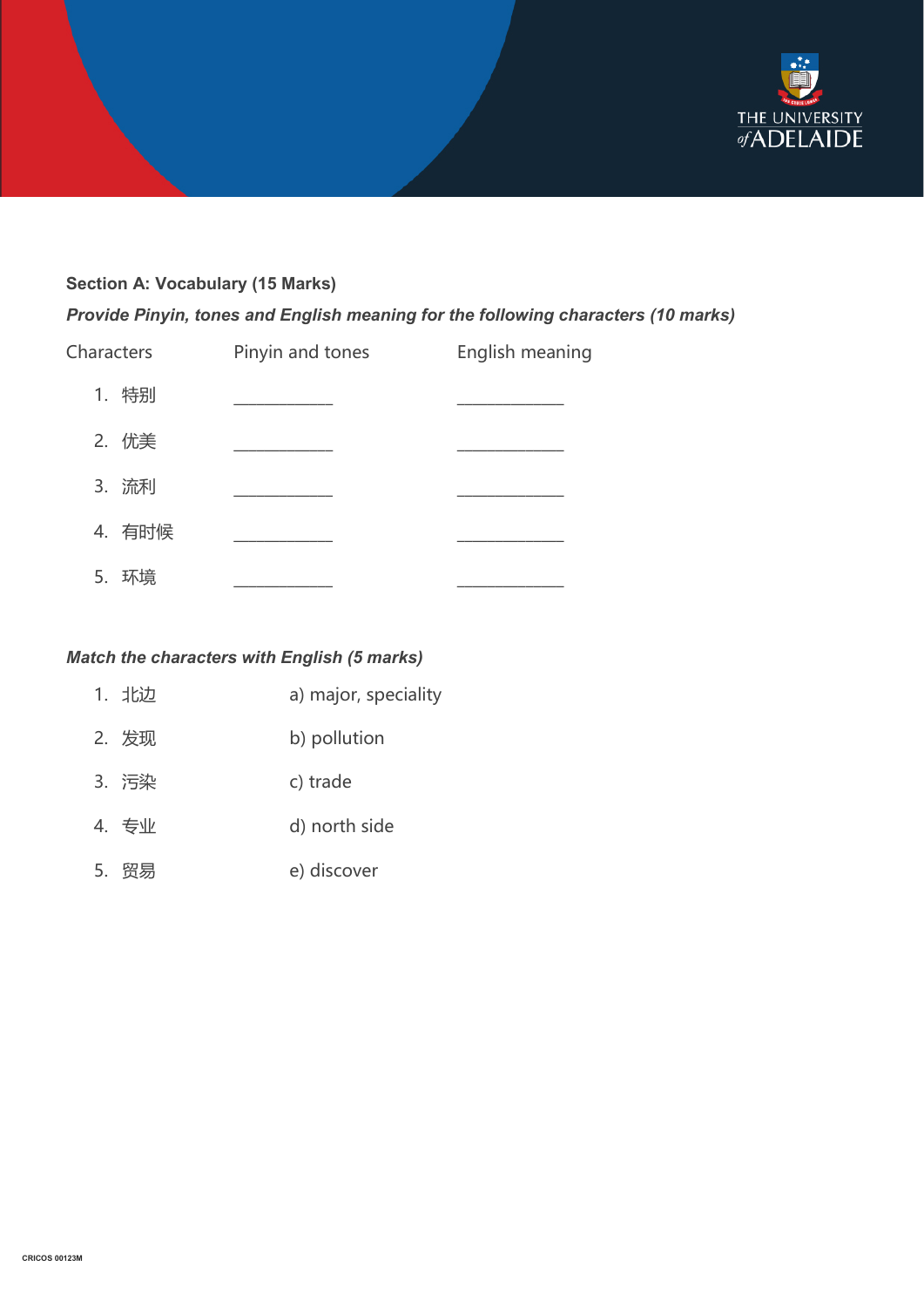

# **Section A: Vocabulary (15 Marks)**

*Provide Pinyin, tones and English meaning for the following characters (10 marks)*

| Characters | Pinyin and tones | English meaning |
|------------|------------------|-----------------|
| 1. 特别      |                  |                 |
| 2. 优美      |                  |                 |
| 3. 流利      |                  |                 |
| 4. 有时候     |                  |                 |
| 环培<br>5.   |                  |                 |

## *Match the characters with English (5 marks)*

| 1. 北边 | a) major, speciality |
|-------|----------------------|
| 2. 发现 | b) pollution         |
| 3. 污染 | c) trade             |
| 4. 专业 | d) north side        |
| 5. 贸易 | e) discover          |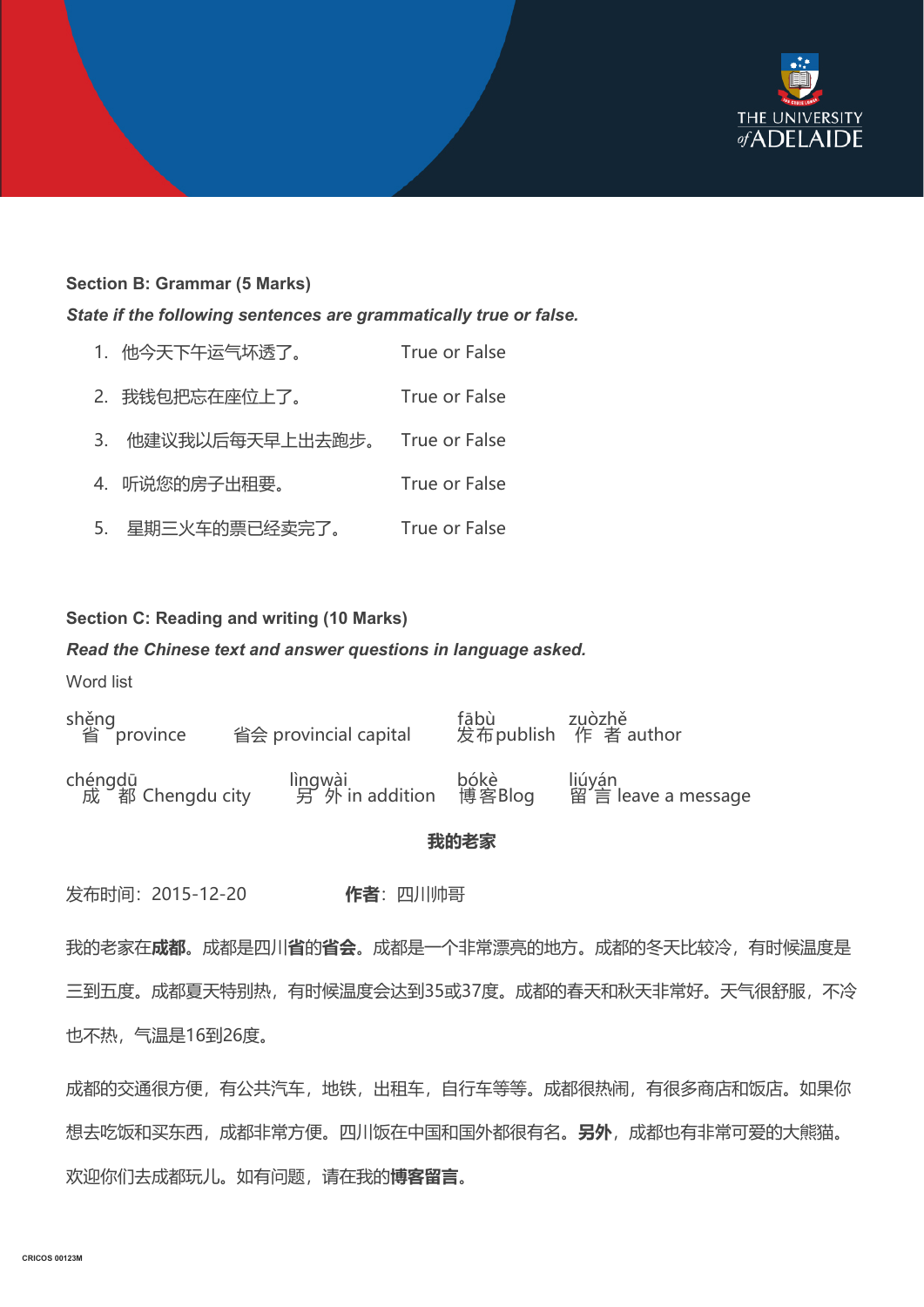

#### **Section B: Grammar (5 Marks)**

*State if the following sentences are grammatically true or false.*

| 1. 他今天下午运气坏透了。     | True or False |
|--------------------|---------------|
| 2. 我钱包把忘在座位上了。     | True or False |
| 3. 他建议我以后每天早上出去跑步。 | True or False |
| 4. 听说您的房子出租要。      | True or False |
| 5. 星期三火车的票已经卖完了。   | True or False |

#### **Section C: Reading and writing (10 Marks)**

### *Read the Chinese text and answer questions in language asked.*

Word list

省 shěngprovince 省会 provincial capital <sup>发</sup> fā 布 bù publish 作 zụò 者 zhě author chéngdū<br>成 都 Chengdu city 另 lì<u>n</u>gwài<br>另 外 in addition 博 bó 客 kè Blog 留 l<u>iú</u>yán yán<br>言 leave a message

**我的老家**

发布时间:2015-12-20 **作者**:四川帅哥

我的老家在**成都**。成都是四川**省**的**省会**。成都是一个非常漂亮的地方。成都的冬天比较冷,有时候温度是 三到五度。成都夏天特别热,有时候温度会达到35或37度。成都的春天和秋天非常好。天气很舒服,不冷 也不热,气温是16到26度。

成都的交通很方便,有公共汽车,地铁,出租车,自行车等等。成都很热闹,有很多商店和饭店。如果你 想去吃饭和买东西,成都非常方便。四川饭在中国和国外都很有名。**另外**,成都也有非常可爱的大熊猫。 欢迎你们去成都玩儿。如有问题,请在我的**博客留言**。